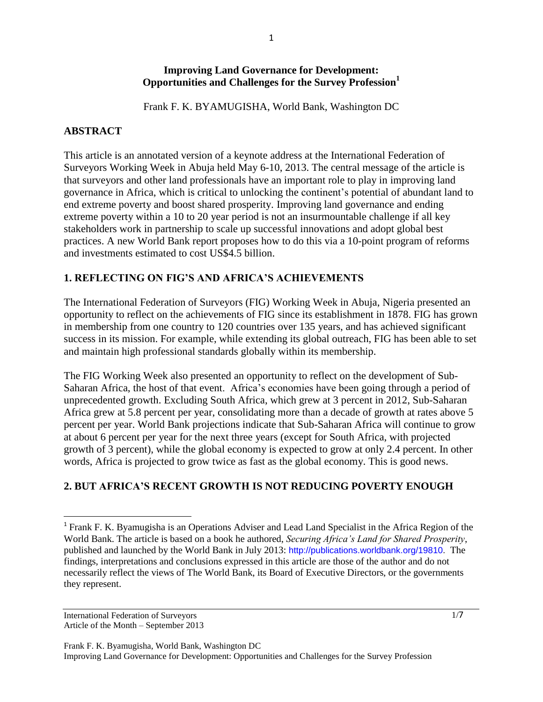#### **Improving Land Governance for Development: Opportunities and Challenges for the Survey Profession<sup>1</sup>**

Frank F. K. BYAMUGISHA, World Bank, Washington DC

#### **ABSTRACT**

This article is an annotated version of a keynote address at the International Federation of Surveyors Working Week in Abuja held May 6-10, 2013. The central message of the article is that surveyors and other land professionals have an important role to play in improving land governance in Africa, which is critical to unlocking the continent's potential of abundant land to end extreme poverty and boost shared prosperity. Improving land governance and ending extreme poverty within a 10 to 20 year period is not an insurmountable challenge if all key stakeholders work in partnership to scale up successful innovations and adopt global best practices. A new World Bank report proposes how to do this via a 10-point program of reforms and investments estimated to cost US\$4.5 billion.

## **1. REFLECTING ON FIG'S AND AFRICA'S ACHIEVEMENTS**

The International Federation of Surveyors (FIG) Working Week in Abuja, Nigeria presented an opportunity to reflect on the achievements of FIG since its establishment in 1878. FIG has grown in membership from one country to 120 countries over 135 years, and has achieved significant success in its mission. For example, while extending its global outreach, FIG has been able to set and maintain high professional standards globally within its membership.

The FIG Working Week also presented an opportunity to reflect on the development of Sub-Saharan Africa, the host of that event. Africa's economies have been going through a period of unprecedented growth. Excluding South Africa, which grew at 3 percent in 2012, Sub-Saharan Africa grew at 5.8 percent per year, consolidating more than a decade of growth at rates above 5 percent per year. World Bank projections indicate that Sub-Saharan Africa will continue to grow at about 6 percent per year for the next three years (except for South Africa, with projected growth of 3 percent), while the global economy is expected to grow at only 2.4 percent. In other words, Africa is projected to grow twice as fast as the global economy. This is good news.

# **2. BUT AFRICA'S RECENT GROWTH IS NOT REDUCING POVERTY ENOUGH**

International Federation of Surveyors Article of the Month – September 2013

 $\overline{\phantom{a}}$ 

Frank F. K. Byamugisha, World Bank, Washington DC Improving Land Governance for Development: Opportunities and Challenges for the Survey Profession

<sup>&</sup>lt;sup>1</sup> Frank F. K. Byamugisha is an Operations Adviser and Lead Land Specialist in the Africa Region of the World Bank. The article is based on a book he authored, *Securing Africa's Land for Shared Prosperity*, published and launched by the World Bank in July 2013: [http://publications.worldbank.org/19810.](http://publications.worldbank.org/19810) The findings, interpretations and conclusions expressed in this article are those of the author and do not necessarily reflect the views of The World Bank, its Board of Executive Directors, or the governments they represent.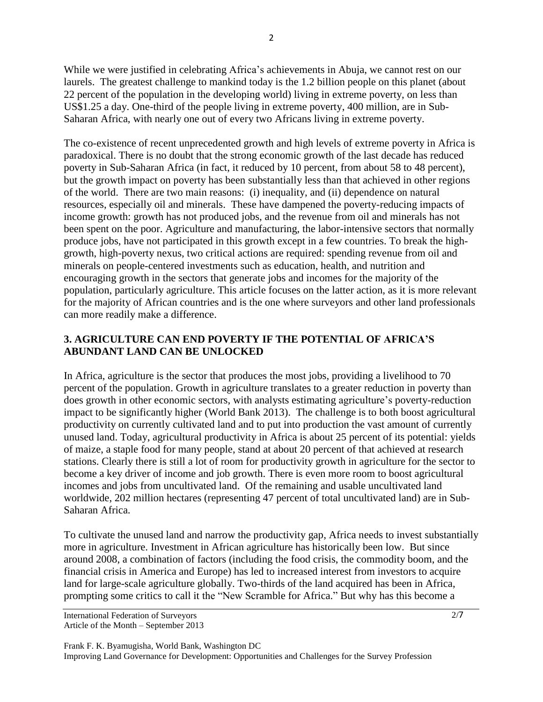While we were justified in celebrating Africa's achievements in Abuja, we cannot rest on our laurels. The greatest challenge to mankind today is the 1.2 billion people on this planet (about 22 percent of the population in the developing world) living in extreme poverty, on less than US\$1.25 a day. One-third of the people living in extreme poverty, 400 million, are in Sub-Saharan Africa, with nearly one out of every two Africans living in extreme poverty.

The co-existence of recent unprecedented growth and high levels of extreme poverty in Africa is paradoxical. There is no doubt that the strong economic growth of the last decade has reduced poverty in Sub-Saharan Africa (in fact, it reduced by 10 percent, from about 58 to 48 percent), but the growth impact on poverty has been substantially less than that achieved in other regions of the world. There are two main reasons: (i) inequality, and (ii) dependence on natural resources, especially oil and minerals. These have dampened the poverty-reducing impacts of income growth: growth has not produced jobs, and the revenue from oil and minerals has not been spent on the poor. Agriculture and manufacturing, the labor-intensive sectors that normally produce jobs, have not participated in this growth except in a few countries. To break the highgrowth, high-poverty nexus, two critical actions are required: spending revenue from oil and minerals on people-centered investments such as education, health, and nutrition and encouraging growth in the sectors that generate jobs and incomes for the majority of the population, particularly agriculture. This article focuses on the latter action, as it is more relevant for the majority of African countries and is the one where surveyors and other land professionals can more readily make a difference.

## **3. AGRICULTURE CAN END POVERTY IF THE POTENTIAL OF AFRICA'S ABUNDANT LAND CAN BE UNLOCKED**

In Africa, agriculture is the sector that produces the most jobs, providing a livelihood to 70 percent of the population. Growth in agriculture translates to a greater reduction in poverty than does growth in other economic sectors, with analysts estimating agriculture's poverty-reduction impact to be significantly higher (World Bank 2013). The challenge is to both boost agricultural productivity on currently cultivated land and to put into production the vast amount of currently unused land. Today, agricultural productivity in Africa is about 25 percent of its potential: yields of maize, a staple food for many people, stand at about 20 percent of that achieved at research stations. Clearly there is still a lot of room for productivity growth in agriculture for the sector to become a key driver of income and job growth. There is even more room to boost agricultural incomes and jobs from uncultivated land. Of the remaining and usable uncultivated land worldwide, 202 million hectares (representing 47 percent of total uncultivated land) are in Sub-Saharan Africa.

To cultivate the unused land and narrow the productivity gap, Africa needs to invest substantially more in agriculture. Investment in African agriculture has historically been low. But since around 2008, a combination of factors (including the food crisis, the commodity boom, and the financial crisis in America and Europe) has led to increased interest from investors to acquire land for large-scale agriculture globally. Two-thirds of the land acquired has been in Africa, prompting some critics to call it the "New Scramble for Africa." But why has this become a

International Federation of Surveyors Article of the Month – September 2013

Frank F. K. Byamugisha, World Bank, Washington DC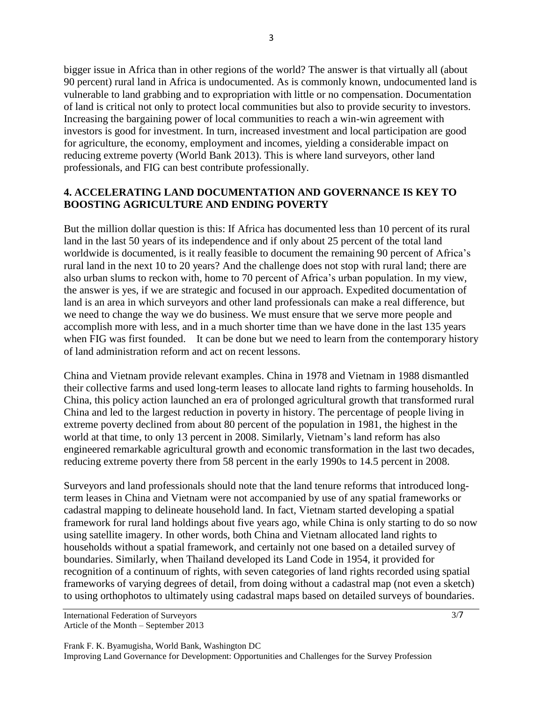bigger issue in Africa than in other regions of the world? The answer is that virtually all (about 90 percent) rural land in Africa is undocumented. As is commonly known, undocumented land is vulnerable to land grabbing and to expropriation with little or no compensation. Documentation of land is critical not only to protect local communities but also to provide security to investors. Increasing the bargaining power of local communities to reach a win-win agreement with investors is good for investment. In turn, increased investment and local participation are good for agriculture, the economy, employment and incomes, yielding a considerable impact on reducing extreme poverty (World Bank 2013). This is where land surveyors, other land professionals, and FIG can best contribute professionally.

#### **4. ACCELERATING LAND DOCUMENTATION AND GOVERNANCE IS KEY TO BOOSTING AGRICULTURE AND ENDING POVERTY**

But the million dollar question is this: If Africa has documented less than 10 percent of its rural land in the last 50 years of its independence and if only about 25 percent of the total land worldwide is documented, is it really feasible to document the remaining 90 percent of Africa's rural land in the next 10 to 20 years? And the challenge does not stop with rural land; there are also urban slums to reckon with, home to 70 percent of Africa's urban population. In my view, the answer is yes, if we are strategic and focused in our approach. Expedited documentation of land is an area in which surveyors and other land professionals can make a real difference, but we need to change the way we do business. We must ensure that we serve more people and accomplish more with less, and in a much shorter time than we have done in the last 135 years when FIG was first founded. It can be done but we need to learn from the contemporary history of land administration reform and act on recent lessons.

China and Vietnam provide relevant examples. China in 1978 and Vietnam in 1988 dismantled their collective farms and used long-term leases to allocate land rights to farming households. In China, this policy action launched an era of prolonged agricultural growth that transformed rural China and led to the largest reduction in poverty in history. The percentage of people living in extreme poverty declined from about 80 percent of the population in 1981, the highest in the world at that time, to only 13 percent in 2008. Similarly, Vietnam's land reform has also engineered remarkable agricultural growth and economic transformation in the last two decades, reducing extreme poverty there from 58 percent in the early 1990s to 14.5 percent in 2008.

Surveyors and land professionals should note that the land tenure reforms that introduced longterm leases in China and Vietnam were not accompanied by use of any spatial frameworks or cadastral mapping to delineate household land. In fact, Vietnam started developing a spatial framework for rural land holdings about five years ago, while China is only starting to do so now using satellite imagery. In other words, both China and Vietnam allocated land rights to households without a spatial framework, and certainly not one based on a detailed survey of boundaries. Similarly, when Thailand developed its Land Code in 1954, it provided for recognition of a continuum of rights, with seven categories of land rights recorded using spatial frameworks of varying degrees of detail, from doing without a cadastral map (not even a sketch) to using orthophotos to ultimately using cadastral maps based on detailed surveys of boundaries.

International Federation of Surveyors Article of the Month – September 2013 3/7

Frank F. K. Byamugisha, World Bank, Washington DC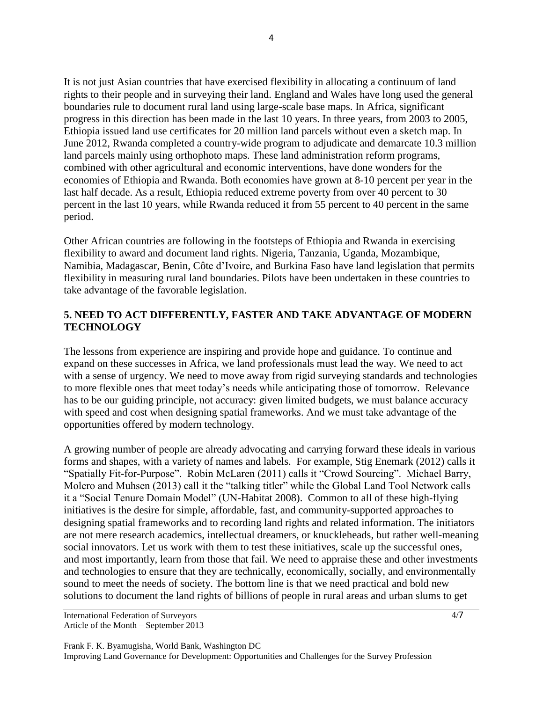It is not just Asian countries that have exercised flexibility in allocating a continuum of land rights to their people and in surveying their land. England and Wales have long used the general boundaries rule to document rural land using large-scale base maps. In Africa, significant progress in this direction has been made in the last 10 years. In three years, from 2003 to 2005, Ethiopia issued land use certificates for 20 million land parcels without even a sketch map. In June 2012, Rwanda completed a country-wide program to adjudicate and demarcate 10.3 million land parcels mainly using orthophoto maps. These land administration reform programs, combined with other agricultural and economic interventions, have done wonders for the economies of Ethiopia and Rwanda. Both economies have grown at 8-10 percent per year in the last half decade. As a result, Ethiopia reduced extreme poverty from over 40 percent to 30 percent in the last 10 years, while Rwanda reduced it from 55 percent to 40 percent in the same period.

Other African countries are following in the footsteps of Ethiopia and Rwanda in exercising flexibility to award and document land rights. Nigeria, Tanzania, Uganda, Mozambique, Namibia, Madagascar, Benin, Côte d'Ivoire, and Burkina Faso have land legislation that permits flexibility in measuring rural land boundaries. Pilots have been undertaken in these countries to take advantage of the favorable legislation.

## **5. NEED TO ACT DIFFERENTLY, FASTER AND TAKE ADVANTAGE OF MODERN TECHNOLOGY**

The lessons from experience are inspiring and provide hope and guidance. To continue and expand on these successes in Africa, we land professionals must lead the way. We need to act with a sense of urgency. We need to move away from rigid surveying standards and technologies to more flexible ones that meet today's needs while anticipating those of tomorrow. Relevance has to be our guiding principle, not accuracy: given limited budgets, we must balance accuracy with speed and cost when designing spatial frameworks. And we must take advantage of the opportunities offered by modern technology.

A growing number of people are already advocating and carrying forward these ideals in various forms and shapes, with a variety of names and labels. For example, Stig Enemark (2012) calls it "Spatially Fit-for-Purpose". Robin McLaren (2011) calls it "Crowd Sourcing". Michael Barry, Molero and Muhsen (2013) call it the "talking titler" while the Global Land Tool Network calls it a "Social Tenure Domain Model" (UN-Habitat 2008). Common to all of these high-flying initiatives is the desire for simple, affordable, fast, and community-supported approaches to designing spatial frameworks and to recording land rights and related information. The initiators are not mere research academics, intellectual dreamers, or knuckleheads, but rather well-meaning social innovators. Let us work with them to test these initiatives, scale up the successful ones, and most importantly, learn from those that fail. We need to appraise these and other investments and technologies to ensure that they are technically, economically, socially, and environmentally sound to meet the needs of society. The bottom line is that we need practical and bold new solutions to document the land rights of billions of people in rural areas and urban slums to get

International Federation of Surveyors Article of the Month – September 2013 4/7

Frank F. K. Byamugisha, World Bank, Washington DC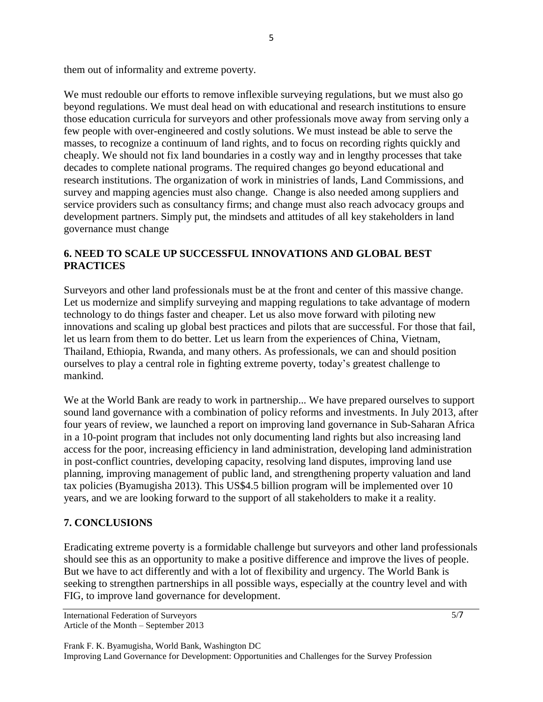them out of informality and extreme poverty.

We must redouble our efforts to remove inflexible surveying regulations, but we must also go beyond regulations. We must deal head on with educational and research institutions to ensure those education curricula for surveyors and other professionals move away from serving only a few people with over-engineered and costly solutions. We must instead be able to serve the masses, to recognize a continuum of land rights, and to focus on recording rights quickly and cheaply. We should not fix land boundaries in a costly way and in lengthy processes that take decades to complete national programs. The required changes go beyond educational and research institutions. The organization of work in ministries of lands, Land Commissions, and survey and mapping agencies must also change. Change is also needed among suppliers and service providers such as consultancy firms; and change must also reach advocacy groups and development partners. Simply put, the mindsets and attitudes of all key stakeholders in land governance must change

## **6. NEED TO SCALE UP SUCCESSFUL INNOVATIONS AND GLOBAL BEST PRACTICES**

Surveyors and other land professionals must be at the front and center of this massive change. Let us modernize and simplify surveying and mapping regulations to take advantage of modern technology to do things faster and cheaper. Let us also move forward with piloting new innovations and scaling up global best practices and pilots that are successful. For those that fail, let us learn from them to do better. Let us learn from the experiences of China, Vietnam, Thailand, Ethiopia, Rwanda, and many others. As professionals, we can and should position ourselves to play a central role in fighting extreme poverty, today's greatest challenge to mankind.

We at the World Bank are ready to work in partnership... We have prepared ourselves to support sound land governance with a combination of policy reforms and investments. In July 2013, after four years of review, we launched a report on improving land governance in Sub-Saharan Africa in a 10-point program that includes not only documenting land rights but also increasing land access for the poor, increasing efficiency in land administration, developing land administration in post-conflict countries, developing capacity, resolving land disputes, improving land use planning, improving management of public land, and strengthening property valuation and land tax policies (Byamugisha 2013). This US\$4.5 billion program will be implemented over 10 years, and we are looking forward to the support of all stakeholders to make it a reality.

## **7. CONCLUSIONS**

Eradicating extreme poverty is a formidable challenge but surveyors and other land professionals should see this as an opportunity to make a positive difference and improve the lives of people. But we have to act differently and with a lot of flexibility and urgency. The World Bank is seeking to strengthen partnerships in all possible ways, especially at the country level and with FIG, to improve land governance for development.

Frank F. K. Byamugisha, World Bank, Washington DC

International Federation of Surveyors Article of the Month – September 2013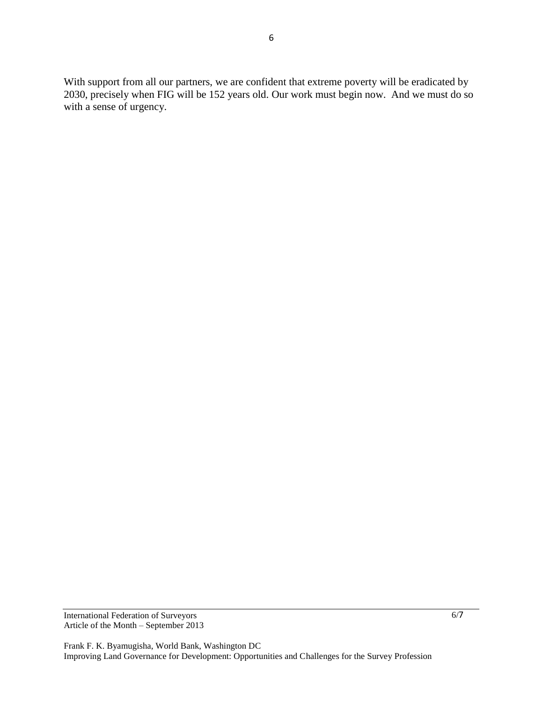With support from all our partners, we are confident that extreme poverty will be eradicated by 2030, precisely when FIG will be 152 years old. Our work must begin now. And we must do so with a sense of urgency.